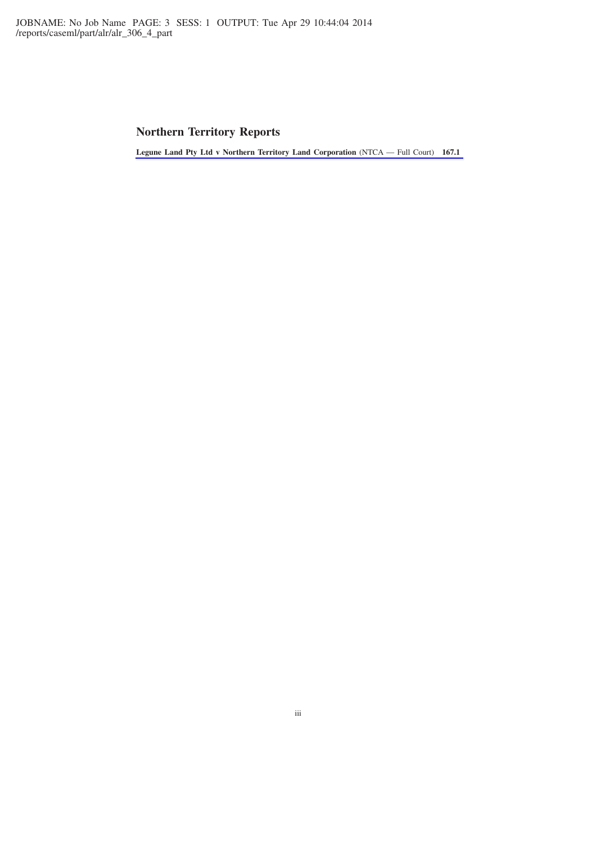# **Northern Territory Reports**

**[Legune Land Pty Ltd v Northern Territory Land Corporation](http://www.lexisnexis.com/au/legal/docview/getDocForCuiReq?lni=5C54-9F61-DY5B-41K5&csi=267691&oc=00240&perma=true)** (NTCA — Full Court) **167.1**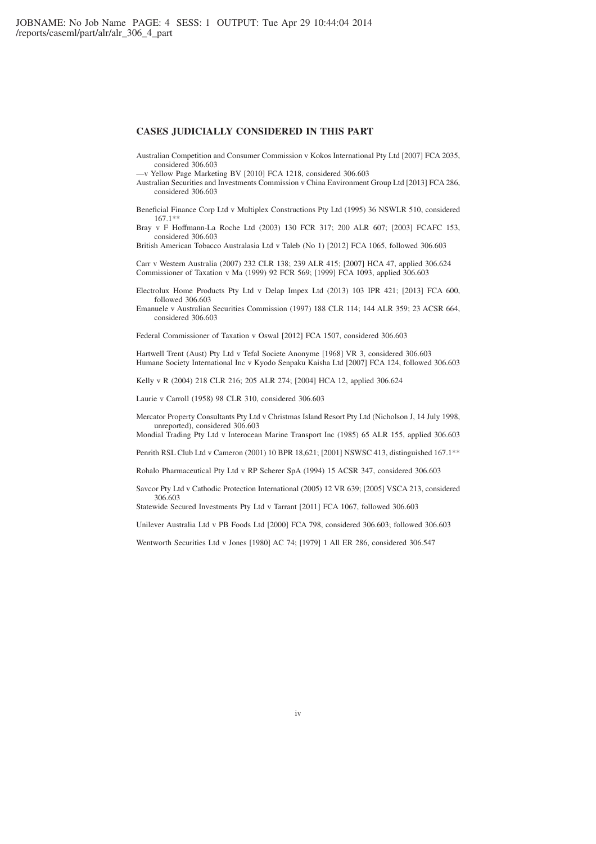# **CASES JUDICIALLY CONSIDERED IN THIS PART**

Australian Competition and Consumer Commission v Kokos International Pty Ltd [2007] FCA 2035, considered 306.603

—v Yellow Page Marketing BV [2010] FCA 1218, considered 306.603

- Australian Securities and Investments Commission v China Environment Group Ltd [2013] FCA 286, considered 306.603
- Beneficial Finance Corp Ltd v Multiplex Constructions Pty Ltd (1995) 36 NSWLR 510, considered 167.1\*\*
- Bray v F Hoffmann-La Roche Ltd (2003) 130 FCR 317; 200 ALR 607; [2003] FCAFC 153, considered 306.603

British American Tobacco Australasia Ltd v Taleb (No 1) [2012] FCA 1065, followed 306.603

Carr v Western Australia (2007) 232 CLR 138; 239 ALR 415; [2007] HCA 47, applied 306.624 Commissioner of Taxation v Ma (1999) 92 FCR 569; [1999] FCA 1093, applied 306.603

Electrolux Home Products Pty Ltd v Delap Impex Ltd (2013) 103 IPR 421; [2013] FCA 600, followed 306.603

Emanuele v Australian Securities Commission (1997) 188 CLR 114; 144 ALR 359; 23 ACSR 664, considered 306.603

Federal Commissioner of Taxation v Oswal [2012] FCA 1507, considered 306.603

Hartwell Trent (Aust) Pty Ltd v Tefal Societe Anonyme [1968] VR 3, considered 306.603 Humane Society International Inc v Kyodo Senpaku Kaisha Ltd [2007] FCA 124, followed 306.603

Kelly v R (2004) 218 CLR 216; 205 ALR 274; [2004] HCA 12, applied 306.624

Laurie v Carroll (1958) 98 CLR 310, considered 306.603

Mercator Property Consultants Pty Ltd v Christmas Island Resort Pty Ltd (Nicholson J, 14 July 1998, unreported), considered 306.603

Mondial Trading Pty Ltd v Interocean Marine Transport Inc (1985) 65 ALR 155, applied 306.603

Penrith RSL Club Ltd v Cameron (2001) 10 BPR 18,621; [2001] NSWSC 413, distinguished 167.1\*\*

Rohalo Pharmaceutical Pty Ltd v RP Scherer SpA (1994) 15 ACSR 347, considered 306.603

Savcor Pty Ltd v Cathodic Protection International (2005) 12 VR 639; [2005] VSCA 213, considered 306.603

Statewide Secured Investments Pty Ltd v Tarrant [2011] FCA 1067, followed 306.603

Unilever Australia Ltd v PB Foods Ltd [2000] FCA 798, considered 306.603; followed 306.603

Wentworth Securities Ltd v Jones [1980] AC 74; [1979] 1 All ER 286, considered 306.547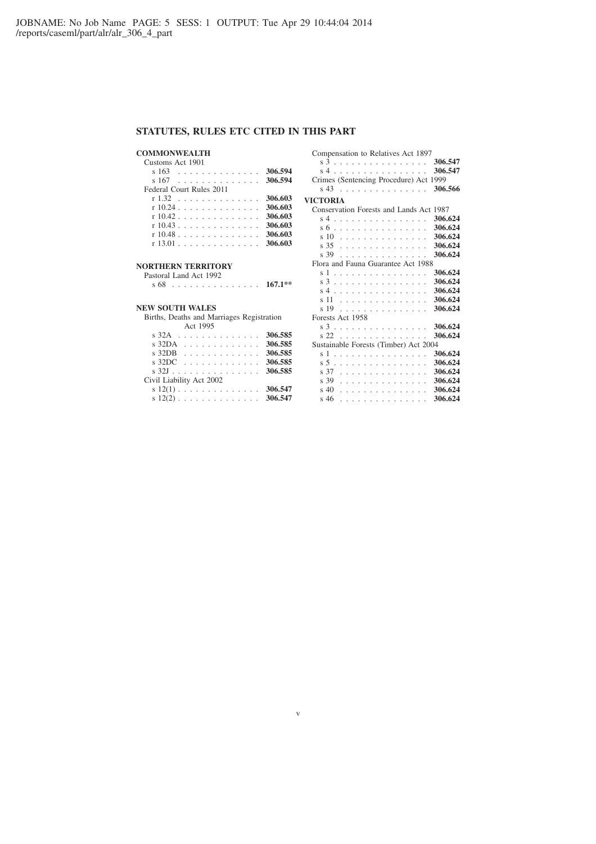# **STATUTES, RULES ETC CITED IN THIS PART**

# **COMMONWEALTH**

| Customs Act 1901         |         |
|--------------------------|---------|
| s 163                    | 306.594 |
| 306.594<br>s 167         |         |
| Federal Court Rules 2011 |         |
| r 1.32                   | 306.603 |
| r 10.24                  | 306.603 |
| $r10.42$ ,               | 306.603 |
| $r10.43$                 | 306.603 |
| r 10.48                  | 306.603 |
| r 13 01                  | 306.603 |
|                          |         |

# **NORTHERN TERRITORY**

Pastoral Land Act 1992 s 68 . . . . . . . . . . . . . . . **167.1\*\***

# **NEW SOUTH WALES**

Births, Deaths and Marriages Registration Act 1995

| $s$ 32A 306.585   |
|-------------------|
| $s$ 32DA 306.585  |
| s $32DB$ 306.585  |
| s $32DC$ 306.585  |
| s $32J$ 306.585   |
|                   |
| s $12(1)$ 306.547 |
|                   |
|                   |

v

| Compensation to Relatives Act 1897<br>s 3<br>s4<br>. | 306.547<br>306.547 |
|------------------------------------------------------|--------------------|
| Crimes (Sentencing Procedure) Act 1999               |                    |
| s 43                                                 | 306.566            |
| VICTORIA                                             |                    |
| Conservation Forests and Lands Act 1987              |                    |
| $s4$ .<br>$\overline{a}$                             | 306.624            |
| .<br>s 6                                             | 306.624            |
| 10<br>$\overline{\mathbf{s}}$                        | 306.624            |
| .                                                    | 306.624            |
| s 35<br>s 39                                         | 306.624            |
| .                                                    |                    |
| Flora and Fauna Guarantee Act 1988                   |                    |
| s 1<br>.                                             | 306.624            |
| s 3                                                  | 306.624            |
| s 4                                                  | 306.624            |
| 11<br>$\overline{\phantom{a}}$<br>.                  | 306.624            |
| s 19<br>.                                            | 306.624            |
| Forests Act 1958                                     |                    |
| s 3                                                  | 306.624            |
| s 22                                                 | 306.624            |
| Sustainable Forests (Timber) Act 2004                |                    |
| s 1<br>.                                             | 306.624            |
| s 5                                                  | 306.624            |
| s 37<br>.                                            | 306.624            |
| s 39<br>.                                            | 306.624            |
| $\sin 40$<br>.                                       | 306.624            |
| s 46<br>.                                            | 306.624            |
|                                                      |                    |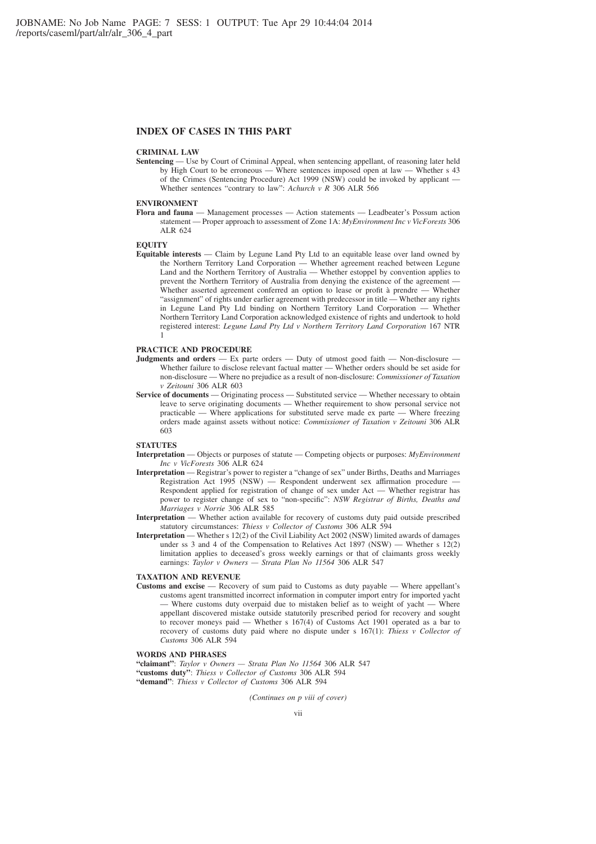# **INDEX OF CASES IN THIS PART**

#### **CRIMINAL LAW**

**Sentencing** — Use by Court of Criminal Appeal, when sentencing appellant, of reasoning later held by High Court to be erroneous — Where sentences imposed open at law — Whether s 43 of the Crimes (Sentencing Procedure) Act 1999 (NSW) could be invoked by applicant — Whether sentences "contrary to law": *Achurch v R* 306 ALR 566

### **ENVIRONMENT**

**Flora and fauna** — Management processes — Action statements — Leadbeater's Possum action statement — Proper approach to assessment of Zone 1A: *MyEnvironment Inc v VicForests* 306 ALR 624

## **EQUITY**

**Equitable interests** — Claim by Legune Land Pty Ltd to an equitable lease over land owned by the Northern Territory Land Corporation — Whether agreement reached between Legune Land and the Northern Territory of Australia — Whether estoppel by convention applies to prevent the Northern Territory of Australia from denying the existence of the agreement — Whether asserted agreement conferred an option to lease or profit à prendre — Whether "assignment" of rights under earlier agreement with predecessor in title — Whether any rights in Legune Land Pty Ltd binding on Northern Territory Land Corporation — Whether Northern Territory Land Corporation acknowledged existence of rights and undertook to hold registered interest: *Legune Land Pty Ltd v Northern Territory Land Corporation* 167 NTR 1

# **PRACTICE AND PROCEDURE**

- **Judgments and orders** Ex parte orders Duty of utmost good faith Non-disclosure -Whether failure to disclose relevant factual matter — Whether orders should be set aside for non-disclosure — Where no prejudice as a result of non-disclosure: *Commissioner of Taxation v Zeitouni* 306 ALR 603
- **Service of documents** Originating process Substituted service Whether necessary to obtain leave to serve originating documents — Whether requirement to show personal service not practicable — Where applications for substituted serve made ex parte — Where freezing orders made against assets without notice: *Commissioner of Taxation v Zeitouni* 306 ALR 603

#### **STATUTES**

- **Interpretation** Objects or purposes of statute Competing objects or purposes: *MyEnvironment Inc v VicForests* 306 ALR 624
- **Interpretation** Registrar's power to register a "change of sex" under Births, Deaths and Marriages Registration Act 1995 (NSW) — Respondent underwent sex affirmation procedure Respondent applied for registration of change of sex under Act — Whether registrar has power to register change of sex to "non-specific": *NSW Registrar of Births, Deaths and Marriages v Norrie* 306 ALR 585
- **Interpretation** Whether action available for recovery of customs duty paid outside prescribed statutory circumstances: *Thiess v Collector of Customs* 306 ALR 594
- **Interpretation** Whether s 12(2) of the Civil Liability Act 2002 (NSW) limited awards of damages under ss 3 and 4 of the Compensation to Relatives Act 1897 (NSW) — Whether s  $12(2)$ limitation applies to deceased's gross weekly earnings or that of claimants gross weekly earnings: *Taylor v Owners — Strata Plan No 11564* 306 ALR 547

#### **TAXATION AND REVENUE**

**Customs and excise** — Recovery of sum paid to Customs as duty payable — Where appellant's customs agent transmitted incorrect information in computer import entry for imported yacht - Where customs duty overpaid due to mistaken belief as to weight of yacht — Where appellant discovered mistake outside statutorily prescribed period for recovery and sought to recover moneys paid — Whether s 167(4) of Customs Act 1901 operated as a bar to recovery of customs duty paid where no dispute under s 167(1): *Thiess v Collector of Customs* 306 ALR 594

### **WORDS AND PHRASES**

**"claimant"**: *Taylor v Owners — Strata Plan No 11564* 306 ALR 547 **"customs duty"**: *Thiess v Collector of Customs* 306 ALR 594 **"demand"**: *Thiess v Collector of Customs* 306 ALR 594

*(Continues on p viii of cover)*